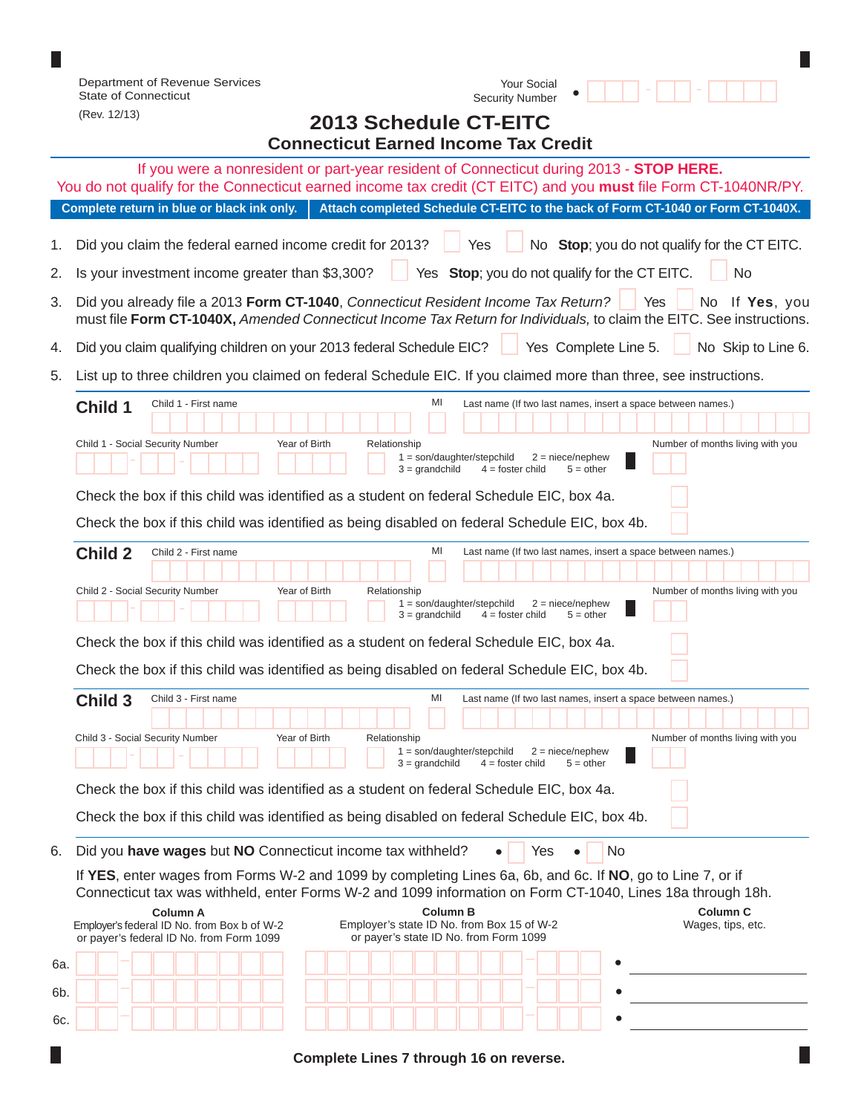|                                                                                                                                        | Department of Revenue Services<br><b>Your Social</b><br><b>State of Connecticut</b><br><b>Security Number</b>                                                                                                                                                                                                                |                    |  |  |  |  |  |
|----------------------------------------------------------------------------------------------------------------------------------------|------------------------------------------------------------------------------------------------------------------------------------------------------------------------------------------------------------------------------------------------------------------------------------------------------------------------------|--------------------|--|--|--|--|--|
|                                                                                                                                        | (Rev. 12/13)<br>2013 Schedule CT-EITC                                                                                                                                                                                                                                                                                        |                    |  |  |  |  |  |
| <b>Connecticut Earned Income Tax Credit</b><br>If you were a nonresident or part-year resident of Connecticut during 2013 - STOP HERE. |                                                                                                                                                                                                                                                                                                                              |                    |  |  |  |  |  |
| You do not qualify for the Connecticut earned income tax credit (CT EITC) and you must file Form CT-1040NR/PY.                         |                                                                                                                                                                                                                                                                                                                              |                    |  |  |  |  |  |
| Complete return in blue or black ink only.<br>Attach completed Schedule CT-EITC to the back of Form CT-1040 or Form CT-1040X.          |                                                                                                                                                                                                                                                                                                                              |                    |  |  |  |  |  |
| 1.                                                                                                                                     | Did you claim the federal earned income credit for 2013?<br>No Stop; you do not qualify for the CT EITC.<br>Yes                                                                                                                                                                                                              |                    |  |  |  |  |  |
| 2.                                                                                                                                     | Yes Stop; you do not qualify for the CT EITC.<br>Is your investment income greater than \$3,300?<br>No                                                                                                                                                                                                                       |                    |  |  |  |  |  |
| 3.                                                                                                                                     | Did you already file a 2013 Form CT-1040, Connecticut Resident Income Tax Return?<br>Yes<br>must file Form CT-1040X, Amended Connecticut Income Tax Return for Individuals, to claim the EITC. See instructions.                                                                                                             | No If Yes, you     |  |  |  |  |  |
| 4.                                                                                                                                     | Did you claim qualifying children on your 2013 federal Schedule EIC?<br>Yes Complete Line 5.                                                                                                                                                                                                                                 | No Skip to Line 6. |  |  |  |  |  |
| 5.                                                                                                                                     | List up to three children you claimed on federal Schedule EIC. If you claimed more than three, see instructions.                                                                                                                                                                                                             |                    |  |  |  |  |  |
|                                                                                                                                        | MI<br>Child 1 - First name<br>Last name (If two last names, insert a space between names.)<br>Child 1<br>Child 1 - Social Security Number<br>Year of Birth<br>Number of months living with you<br>Relationship<br>$1 = son/dayhter/stepchild$<br>$2 =$ niece/nephew<br>$3 =$ grandchild<br>$4 =$ foster child<br>$5 = other$ |                    |  |  |  |  |  |
|                                                                                                                                        | Check the box if this child was identified as a student on federal Schedule EIC, box 4a.                                                                                                                                                                                                                                     |                    |  |  |  |  |  |
|                                                                                                                                        | Check the box if this child was identified as being disabled on federal Schedule EIC, box 4b.                                                                                                                                                                                                                                |                    |  |  |  |  |  |
|                                                                                                                                        | MI<br><b>Child 2</b><br>Child 2 - First name<br>Last name (If two last names, insert a space between names.)                                                                                                                                                                                                                 |                    |  |  |  |  |  |
|                                                                                                                                        | Child 2 - Social Security Number<br>Year of Birth<br>Number of months living with you<br>Relationship<br>$1 = son/dayhter/stepchild$<br>$2 =$ niece/nephew                                                                                                                                                                   |                    |  |  |  |  |  |
|                                                                                                                                        | $3 =$ grandchild<br>$4 =$ foster child<br>$5 = other$                                                                                                                                                                                                                                                                        |                    |  |  |  |  |  |
|                                                                                                                                        | Check the box if this child was identified as a student on federal Schedule EIC, box 4a.<br>Check the box if this child was identified as being disabled on federal Schedule EIC, box 4b.                                                                                                                                    |                    |  |  |  |  |  |
|                                                                                                                                        | MI<br><b>Child 3</b><br>Child 3 - First name<br>Last name (If two last names, insert a space between names.)                                                                                                                                                                                                                 |                    |  |  |  |  |  |
|                                                                                                                                        |                                                                                                                                                                                                                                                                                                                              |                    |  |  |  |  |  |
|                                                                                                                                        | Number of months living with you<br>Child 3 - Social Security Number<br>Year of Birth<br>Relationship<br>$1 = son/dayhter/stepchild$<br>$2 =$ niece/nephew<br>$3 =$ grandchild<br>$4 =$ foster child<br>$5 = other$                                                                                                          |                    |  |  |  |  |  |
|                                                                                                                                        | Check the box if this child was identified as a student on federal Schedule EIC, box 4a.                                                                                                                                                                                                                                     |                    |  |  |  |  |  |
|                                                                                                                                        | Check the box if this child was identified as being disabled on federal Schedule EIC, box 4b.                                                                                                                                                                                                                                |                    |  |  |  |  |  |
| 6.                                                                                                                                     | Did you have wages but NO Connecticut income tax withheld?<br>Yes<br>No                                                                                                                                                                                                                                                      |                    |  |  |  |  |  |
|                                                                                                                                        | If YES, enter wages from Forms W-2 and 1099 by completing Lines 6a, 6b, and 6c. If NO, go to Line 7, or if<br>Connecticut tax was withheld, enter Forms W-2 and 1099 information on Form CT-1040, Lines 18a through 18h.<br>Column <sub>C</sub><br><b>Column B</b><br><b>Column A</b>                                        |                    |  |  |  |  |  |
|                                                                                                                                        | Employer's state ID No. from Box 15 of W-2<br>Wages, tips, etc.<br>Employer's federal ID No. from Box b of W-2<br>or payer's state ID No. from Form 1099<br>or payer's federal ID No. from Form 1099                                                                                                                         |                    |  |  |  |  |  |
| 6а.                                                                                                                                    |                                                                                                                                                                                                                                                                                                                              |                    |  |  |  |  |  |
| 6b.                                                                                                                                    |                                                                                                                                                                                                                                                                                                                              |                    |  |  |  |  |  |
| 6c.                                                                                                                                    |                                                                                                                                                                                                                                                                                                                              |                    |  |  |  |  |  |

 $\Box$ 

**Complete Lines 7 through 16 on reverse.**

П